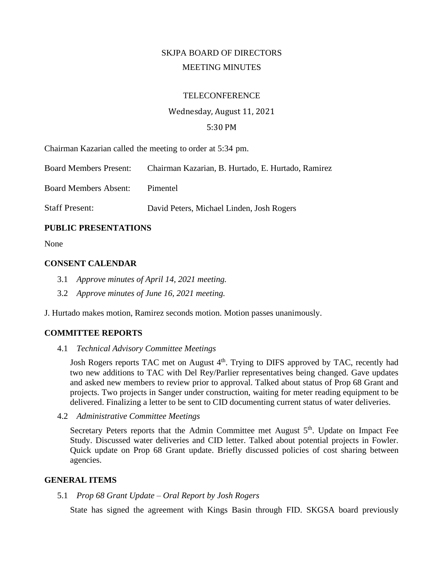# SKJPA BOARD OF DIRECTORS MEETING MINUTES

#### **TELECONFERENCE**

# Wednesday, August 11, 2021 5:30 PM

Chairman Kazarian called the meeting to order at 5:34 pm.

Board Members Present: Chairman Kazarian, B. Hurtado, E. Hurtado, Ramirez Board Members Absent: Pimentel Staff Present: David Peters, Michael Linden, Josh Rogers

## **PUBLIC PRESENTATIONS**

None

## **CONSENT CALENDAR**

- 3.1 *Approve minutes of April 14, 2021 meeting.*
- 3.2 *Approve minutes of June 16, 2021 meeting.*

J. Hurtado makes motion, Ramirez seconds motion. Motion passes unanimously.

## **COMMITTEE REPORTS**

4.1 *Technical Advisory Committee Meetings*

Josh Rogers reports TAC met on August 4<sup>th</sup>. Trying to DIFS approved by TAC, recently had two new additions to TAC with Del Rey/Parlier representatives being changed. Gave updates and asked new members to review prior to approval. Talked about status of Prop 68 Grant and projects. Two projects in Sanger under construction, waiting for meter reading equipment to be delivered. Finalizing a letter to be sent to CID documenting current status of water deliveries.

4.2 *Administrative Committee Meetings*

Secretary Peters reports that the Admin Committee met August  $5<sup>th</sup>$ . Update on Impact Fee Study. Discussed water deliveries and CID letter. Talked about potential projects in Fowler. Quick update on Prop 68 Grant update. Briefly discussed policies of cost sharing between agencies.

#### **GENERAL ITEMS**

#### 5.1 *Prop 68 Grant Update – Oral Report by Josh Rogers*

State has signed the agreement with Kings Basin through FID. SKGSA board previously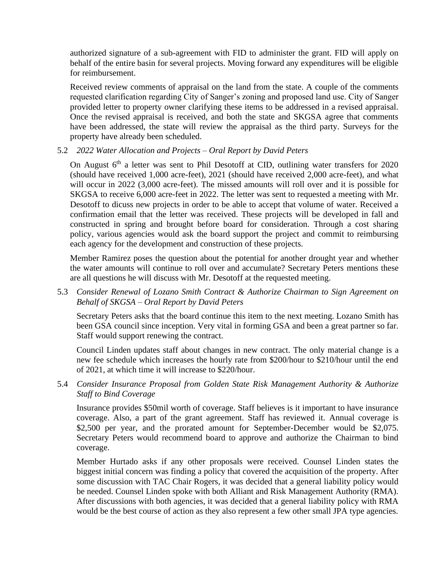authorized signature of a sub-agreement with FID to administer the grant. FID will apply on behalf of the entire basin for several projects. Moving forward any expenditures will be eligible for reimbursement.

Received review comments of appraisal on the land from the state. A couple of the comments requested clarification regarding City of Sanger's zoning and proposed land use. City of Sanger provided letter to property owner clarifying these items to be addressed in a revised appraisal. Once the revised appraisal is received, and both the state and SKGSA agree that comments have been addressed, the state will review the appraisal as the third party. Surveys for the property have already been scheduled.

## 5.2 *2022 Water Allocation and Projects – Oral Report by David Peters*

On August  $6<sup>th</sup>$  a letter was sent to Phil Desotoff at CID, outlining water transfers for 2020 (should have received 1,000 acre-feet), 2021 (should have received 2,000 acre-feet), and what will occur in 2022 (3,000 acre-feet). The missed amounts will roll over and it is possible for SKGSA to receive 6,000 acre-feet in 2022. The letter was sent to requested a meeting with Mr. Desotoff to dicuss new projects in order to be able to accept that volume of water. Received a confirmation email that the letter was received. These projects will be developed in fall and constructed in spring and brought before board for consideration. Through a cost sharing policy, various agencies would ask the board support the project and commit to reimbursing each agency for the development and construction of these projects.

Member Ramirez poses the question about the potential for another drought year and whether the water amounts will continue to roll over and accumulate? Secretary Peters mentions these are all questions he will discuss with Mr. Desotoff at the requested meeting.

5.3 *Consider Renewal of Lozano Smith Contract & Authorize Chairman to Sign Agreement on Behalf of SKGSA – Oral Report by David Peters*

Secretary Peters asks that the board continue this item to the next meeting. Lozano Smith has been GSA council since inception. Very vital in forming GSA and been a great partner so far. Staff would support renewing the contract.

Council Linden updates staff about changes in new contract. The only material change is a new fee schedule which increases the hourly rate from \$200/hour to \$210/hour until the end of 2021, at which time it will increase to \$220/hour.

5.4 *Consider Insurance Proposal from Golden State Risk Management Authority & Authorize Staff to Bind Coverage*

Insurance provides \$50mil worth of coverage. Staff believes is it important to have insurance coverage. Also, a part of the grant agreement. Staff has reviewed it. Annual coverage is \$2,500 per year, and the prorated amount for September-December would be \$2,075. Secretary Peters would recommend board to approve and authorize the Chairman to bind coverage.

Member Hurtado asks if any other proposals were received. Counsel Linden states the biggest initial concern was finding a policy that covered the acquisition of the property. After some discussion with TAC Chair Rogers, it was decided that a general liability policy would be needed. Counsel Linden spoke with both Alliant and Risk Management Authority (RMA). After discussions with both agencies, it was decided that a general liability policy with RMA would be the best course of action as they also represent a few other small JPA type agencies.